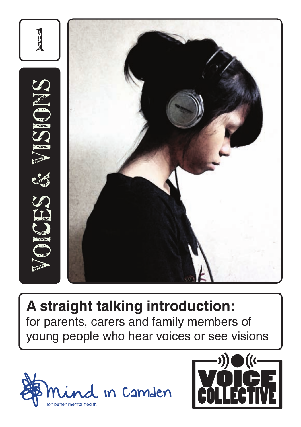

**A straight talking introduction:** for parents, carers and family members of young people who hear voices or see visions



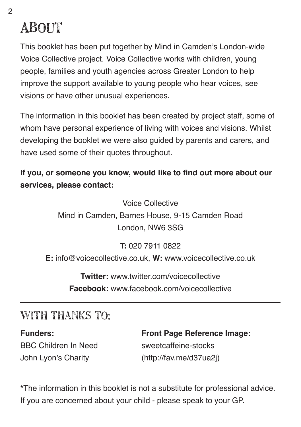# **ABOUT**

This booklet has been put together by Mind in Camden's London-wide Voice Collective project. Voice Collective works with children, young people, families and youth agencies across Greater London to help improve the support available to young people who hear voices, see visions or have other unusual experiences.

The information in this booklet has been created by project staff, some of whom have personal experience of living with voices and visions. Whilst developing the booklet we were also guided by parents and carers, and have used some of their quotes throughout.

**If you, or someone you know, would like to find out more about our services, please contact:**

Voice Collective

Mind in Camden, Barnes House, 9-15 Camden Road London, NW6 3SG

**T:** 020 7911 0822

**E:** info@voicecollective.co.uk, **W:** www.voicecollective.co.uk

**Twitter:** www.twitter.com/voicecollective **Facebook:** www.facebook.com/voicecollective

# With thanks to:

BBC Children In Need sweetcaffeine-stocks John Lyon's Charity (http://fav.me/d37ua2j)

**Funders: Front Page Reference Image:**

**\***The information in this booklet is not a substitute for professional advice. If you are concerned about your child - please speak to your GP.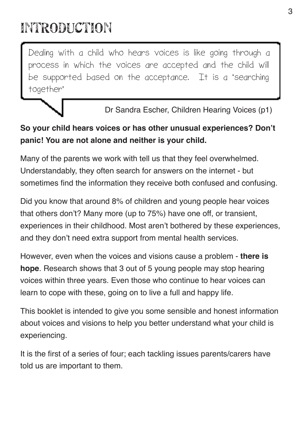# introduction

Dealing with a child who hears voices is like going through a process in which the voices are accepted and the child will be supported based on the acceptance. It is a 'searching together'

Dr Sandra Escher, Children Hearing Voices (p1)

#### **So your child hears voices or has other unusual experiences? Don't panic! You are not alone and neither is your child.**

Many of the parents we work with tell us that they feel overwhelmed. Understandably, they often search for answers on the internet - but sometimes find the information they receive both confused and confusing.

Did you know that around 8% of children and young people hear voices that others don't? Many more (up to 75%) have one off, or transient, experiences in their childhood. Most aren't bothered by these experiences, and they don't need extra support from mental health services.

However, even when the voices and visions cause a problem - **there is hope**. Research shows that 3 out of 5 young people may stop hearing voices within three years. Even those who continue to hear voices can learn to cope with these, going on to live a full and happy life.

This booklet is intended to give you some sensible and honest information about voices and visions to help you better understand what your child is experiencing.

It is the first of a series of four; each tackling issues parents/carers have told us are important to them.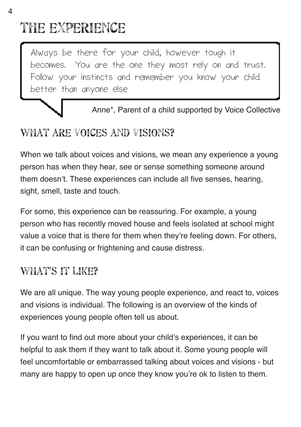# the experience

Always be there for your child, however tough it becomes. You are the one they most rely on and trust. Follow your instincts and remember you know your child better than anyone else

Anne\*, Parent of a child supported by Voice Collective

# What are voices and visions?

When we talk about voices and visions, we mean any experience a young person has when they hear, see or sense something someone around them doesn't. These experiences can include all five senses, hearing, sight, smell, taste and touch.

For some, this experience can be reassuring. For example, a young person who has recently moved house and feels isolated at school might value a voice that is there for them when they're feeling down. For others, it can be confusing or frightening and cause distress.

# WHAT'S IT LIKE?

We are all unique. The way young people experience, and react to, voices and visions is individual. The following is an overview of the kinds of experiences young people often tell us about.

If you want to find out more about your child's experiences, it can be helpful to ask them if they want to talk about it. Some young people will feel uncomfortable or embarrassed talking about voices and visions - but many are happy to open up once they know you're ok to listen to them.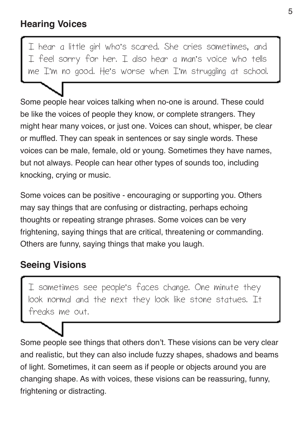I hear a little girl who's scared. She cries sometimes, and I feel sorry for her. I also hear a man's voice who tells me I'm no good. He's worse when I'm struggling at school.

Some people hear voices talking when no-one is around. These could be like the voices of people they know, or complete strangers. They might hear many voices, or just one. Voices can shout, whisper, be clear or muffled. They can speak in sentences or say single words. These voices can be male, female, old or young. Sometimes they have names, but not always. People can hear other types of sounds too, including knocking, crying or music.

Some voices can be positive - encouraging or supporting you. Others may say things that are confusing or distracting, perhaps echoing thoughts or repeating strange phrases. Some voices can be very frightening, saying things that are critical, threatening or commanding. Others are funny, saying things that make you laugh.

### **Seeing Visions**

I sometimes see people's faces change. One minute they look normal and the next they look like stone statues. It freaks me out.

Some people see things that others don't. These visions can be very clear and realistic, but they can also include fuzzy shapes, shadows and beams of light. Sometimes, it can seem as if people or objects around you are changing shape. As with voices, these visions can be reassuring, funny, frightening or distracting.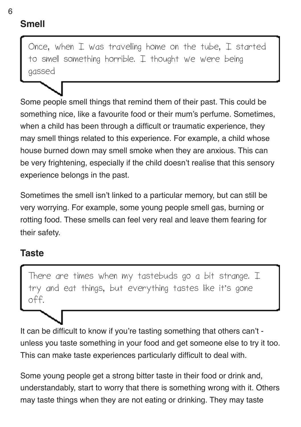# **Smell**

Once, when  $I$  was travelling home on the tube.  $I$  started to smell something horrible. I thought we were being gassed

Some people smell things that remind them of their past. This could be something nice, like a favourite food or their mum's perfume. Sometimes, when a child has been through a difficult or traumatic experience, they may smell things related to this experience. For example, a child whose house burned down may smell smoke when they are anxious. This can be very frightening, especially if the child doesn't realise that this sensory experience belongs in the past.

Sometimes the smell isn't linked to a particular memory, but can still be very worrying. For example, some young people smell gas, burning or rotting food. These smells can feel very real and leave them fearing for their safety.

#### **Taste**

There are times when my tastebuds go a bit strange. I try and eat things, but everything tastes like it's gone off.

It can be difficult to know if you're tasting something that others can't unless you taste something in your food and get someone else to try it too. This can make taste experiences particularly difficult to deal with.

Some young people get a strong bitter taste in their food or drink and, understandably, start to worry that there is something wrong with it. Others may taste things when they are not eating or drinking. They may taste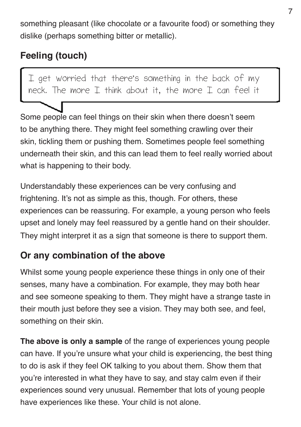something pleasant (like chocolate or a favourite food) or something they dislike (perhaps something bitter or metallic).

# **Feeling (touch)**

I get worried that there's something in the back of my neck. The more  $I$  think about it, the more  $I$  can feel it

Some people can feel things on their skin when there doesn't seem to be anything there. They might feel something crawling over their skin, tickling them or pushing them. Sometimes people feel something underneath their skin, and this can lead them to feel really worried about what is happening to their body.

Understandably these experiences can be very confusing and frightening. It's not as simple as this, though. For others, these experiences can be reassuring. For example, a young person who feels upset and lonely may feel reassured by a gentle hand on their shoulder. They might interpret it as a sign that someone is there to support them.

### **Or any combination of the above**

Whilst some young people experience these things in only one of their senses, many have a combination. For example, they may both hear and see someone speaking to them. They might have a strange taste in their mouth just before they see a vision. They may both see, and feel, something on their skin.

**The above is only a sample** of the range of experiences young people can have. If you're unsure what your child is experiencing, the best thing to do is ask if they feel OK talking to you about them. Show them that you're interested in what they have to say, and stay calm even if their experiences sound very unusual. Remember that lots of young people have experiences like these. Your child is not alone.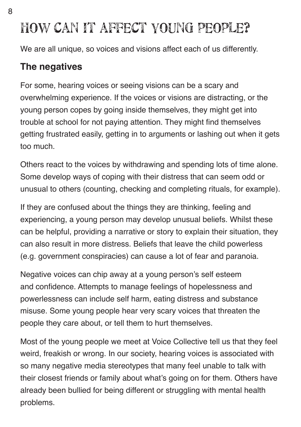We are all unique, so voices and visions affect each of us differently.

### **The negatives**

For some, hearing voices or seeing visions can be a scary and overwhelming experience. If the voices or visions are distracting, or the young person copes by going inside themselves, they might get into trouble at school for not paying attention. They might find themselves getting frustrated easily, getting in to arguments or lashing out when it gets too much.

Others react to the voices by withdrawing and spending lots of time alone. Some develop ways of coping with their distress that can seem odd or unusual to others (counting, checking and completing rituals, for example).

If they are confused about the things they are thinking, feeling and experiencing, a young person may develop unusual beliefs. Whilst these can be helpful, providing a narrative or story to explain their situation, they can also result in more distress. Beliefs that leave the child powerless (e.g. government conspiracies) can cause a lot of fear and paranoia.

Negative voices can chip away at a young person's self esteem and confidence. Attempts to manage feelings of hopelessness and powerlessness can include self harm, eating distress and substance misuse. Some young people hear very scary voices that threaten the people they care about, or tell them to hurt themselves.

Most of the young people we meet at Voice Collective tell us that they feel weird, freakish or wrong. In our society, hearing voices is associated with so many negative media stereotypes that many feel unable to talk with their closest friends or family about what's going on for them. Others have already been bullied for being different or struggling with mental health problems.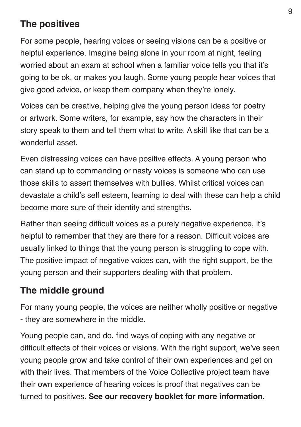### **The positives**

For some people, hearing voices or seeing visions can be a positive or helpful experience. Imagine being alone in your room at night, feeling worried about an exam at school when a familiar voice tells you that it's going to be ok, or makes you laugh. Some young people hear voices that give good advice, or keep them company when they're lonely.

Voices can be creative, helping give the young person ideas for poetry or artwork. Some writers, for example, say how the characters in their story speak to them and tell them what to write. A skill like that can be a wonderful asset.

Even distressing voices can have positive effects. A young person who can stand up to commanding or nasty voices is someone who can use those skills to assert themselves with bullies. Whilst critical voices can devastate a child's self esteem, learning to deal with these can help a child become more sure of their identity and strengths.

Rather than seeing difficult voices as a purely negative experience, it's helpful to remember that they are there for a reason. Difficult voices are usually linked to things that the young person is struggling to cope with. The positive impact of negative voices can, with the right support, be the young person and their supporters dealing with that problem.

#### **The middle ground**

For many young people, the voices are neither wholly positive or negative - they are somewhere in the middle.

Young people can, and do, find ways of coping with any negative or difficult effects of their voices or visions. With the right support, we've seen young people grow and take control of their own experiences and get on with their lives. That members of the Voice Collective project team have their own experience of hearing voices is proof that negatives can be turned to positives. **See our recovery booklet for more information.**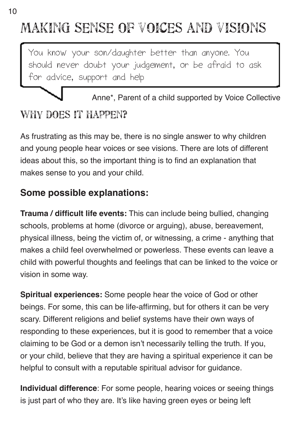# making sense of voices and visions

You know your son/daughter better than anyone. You should never doubt your judgement, or be afraid to ask for advice, support and help

# Anne\*, Parent of a child supported by Voice Collective WHY DOES IT HAPPEN?

As frustrating as this may be, there is no single answer to why children and young people hear voices or see visions. There are lots of different ideas about this, so the important thing is to find an explanation that makes sense to you and your child.

# **Some possible explanations:**

**Trauma / difficult life events:** This can include being bullied, changing schools, problems at home (divorce or arguing), abuse, bereavement, physical illness, being the victim of, or witnessing, a crime - anything that makes a child feel overwhelmed or powerless. These events can leave a child with powerful thoughts and feelings that can be linked to the voice or vision in some way.

**Spiritual experiences:** Some people hear the voice of God or other beings. For some, this can be life-affirming, but for others it can be very scary. Different religions and belief systems have their own ways of responding to these experiences, but it is good to remember that a voice claiming to be God or a demon isn't necessarily telling the truth. If you, or your child, believe that they are having a spiritual experience it can be helpful to consult with a reputable spiritual advisor for guidance.

**Individual difference**: For some people, hearing voices or seeing things is just part of who they are. It's like having green eyes or being left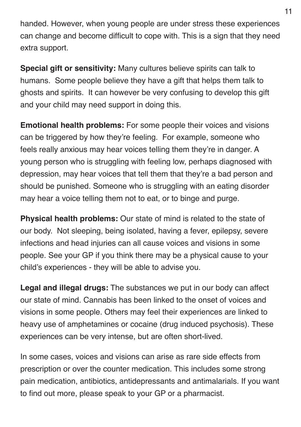handed. However, when young people are under stress these experiences can change and become difficult to cope with. This is a sign that they need extra support.

**Special gift or sensitivity:** Many cultures believe spirits can talk to humans. Some people believe they have a gift that helps them talk to ghosts and spirits. It can however be very confusing to develop this gift and your child may need support in doing this.

**Emotional health problems:** For some people their voices and visions can be triggered by how they're feeling. For example, someone who feels really anxious may hear voices telling them they're in danger. A young person who is struggling with feeling low, perhaps diagnosed with depression, may hear voices that tell them that they're a bad person and should be punished. Someone who is struggling with an eating disorder may hear a voice telling them not to eat, or to binge and purge.

**Physical health problems:** Our state of mind is related to the state of our body. Not sleeping, being isolated, having a fever, epilepsy, severe infections and head injuries can all cause voices and visions in some people. See your GP if you think there may be a physical cause to your child's experiences - they will be able to advise you.

**Legal and illegal drugs:** The substances we put in our body can affect our state of mind. Cannabis has been linked to the onset of voices and visions in some people. Others may feel their experiences are linked to heavy use of amphetamines or cocaine (drug induced psychosis). These experiences can be very intense, but are often short-lived.

In some cases, voices and visions can arise as rare side effects from prescription or over the counter medication. This includes some strong pain medication, antibiotics, antidepressants and antimalarials. If you want to find out more, please speak to your GP or a pharmacist.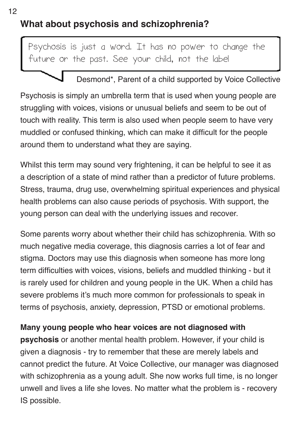### **What about psychosis and schizophrenia?**

Psychosis is just a word. It has no power to change the future or the past. See your child, not the label

#### Desmond\*, Parent of a child supported by Voice Collective

Psychosis is simply an umbrella term that is used when young people are struggling with voices, visions or unusual beliefs and seem to be out of touch with reality. This term is also used when people seem to have very muddled or confused thinking, which can make it difficult for the people around them to understand what they are saying.

Whilst this term may sound very frightening, it can be helpful to see it as a description of a state of mind rather than a predictor of future problems. Stress, trauma, drug use, overwhelming spiritual experiences and physical health problems can also cause periods of psychosis. With support, the young person can deal with the underlying issues and recover.

Some parents worry about whether their child has schizophrenia. With so much negative media coverage, this diagnosis carries a lot of fear and stigma. Doctors may use this diagnosis when someone has more long term difficulties with voices, visions, beliefs and muddled thinking - but it is rarely used for children and young people in the UK. When a child has severe problems it's much more common for professionals to speak in terms of psychosis, anxiety, depression, PTSD or emotional problems.

#### **Many young people who hear voices are not diagnosed with**

**psychosis** or another mental health problem. However, if your child is given a diagnosis - try to remember that these are merely labels and cannot predict the future. At Voice Collective, our manager was diagnosed with schizophrenia as a young adult. She now works full time, is no longer unwell and lives a life she loves. No matter what the problem is - recovery IS possible.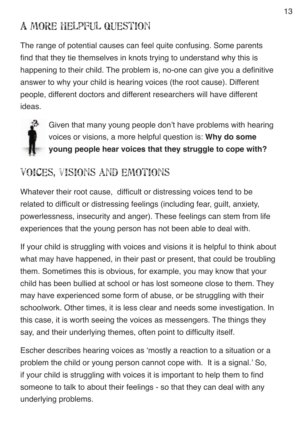# A more helpful question

The range of potential causes can feel quite confusing. Some parents find that they tie themselves in knots trying to understand why this is happening to their child. The problem is, no-one can give you a definitive answer to why your child is hearing voices (the root cause). Different people, different doctors and different researchers will have different ideas.



Given that many young people don't have problems with hearing voices or visions, a more helpful question is: **Why do some young people hear voices that they struggle to cope with?**

# Voices, visions and emotions

Whatever their root cause, difficult or distressing voices tend to be related to difficult or distressing feelings (including fear, guilt, anxiety, powerlessness, insecurity and anger). These feelings can stem from life experiences that the young person has not been able to deal with.

If your child is struggling with voices and visions it is helpful to think about what may have happened, in their past or present, that could be troubling them. Sometimes this is obvious, for example, you may know that your child has been bullied at school or has lost someone close to them. They may have experienced some form of abuse, or be struggling with their schoolwork. Other times, it is less clear and needs some investigation. In this case, it is worth seeing the voices as messengers. The things they say, and their underlying themes, often point to difficulty itself.

Escher describes hearing voices as 'mostly a reaction to a situation or a problem the child or young person cannot cope with. It is a signal.' So, if your child is struggling with voices it is important to help them to find someone to talk to about their feelings - so that they can deal with any underlying problems.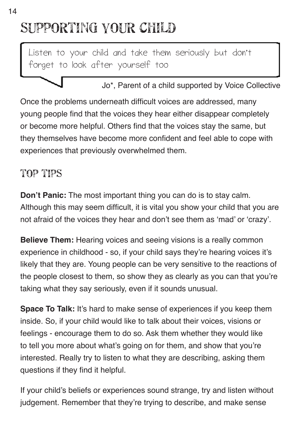# supporting your child

Listen to your child and take them seriously but don't forget to look after yourself too



Once the problems underneath difficult voices are addressed, many young people find that the voices they hear either disappear completely or become more helpful. Others find that the voices stay the same, but they themselves have become more confident and feel able to cope with experiences that previously overwhelmed them.

# top tips

**Don't Panic:** The most important thing you can do is to stay calm. Although this may seem difficult, it is vital you show your child that you are not afraid of the voices they hear and don't see them as 'mad' or 'crazy'.

**Believe Them:** Hearing voices and seeing visions is a really common experience in childhood - so, if your child says they're hearing voices it's likely that they are. Young people can be very sensitive to the reactions of the people closest to them, so show they as clearly as you can that you're taking what they say seriously, even if it sounds unusual.

**Space To Talk:** It's hard to make sense of experiences if you keep them inside. So, if your child would like to talk about their voices, visions or feelings - encourage them to do so. Ask them whether they would like to tell you more about what's going on for them, and show that you're interested. Really try to listen to what they are describing, asking them questions if they find it helpful.

If your child's beliefs or experiences sound strange, try and listen without judgement. Remember that they're trying to describe, and make sense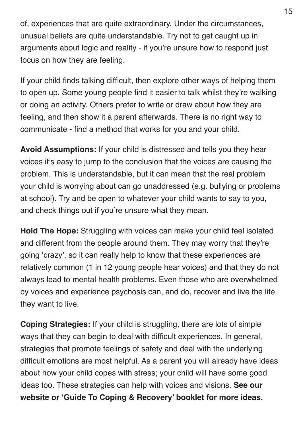of, experiences that are quite extraordinary. Under the circumstances, unusual beliefs are quite understandable. Try not to get caught up in arguments about logic and reality - if you're unsure how to respond just focus on how they are feeling.

If your child finds talking difficult, then explore other ways of helping them to open up. Some young people find it easier to talk whilst they're walking or doing an activity. Others prefer to write or draw about how they are feeling, and then show it a parent afterwards. There is no right way to communicate - find a method that works for you and your child.

**Avoid Assumptions:** If your child is distressed and tells you they hear voices it's easy to jump to the conclusion that the voices are causing the problem. This is understandable, but it can mean that the real problem your child is worrying about can go unaddressed (e.g. bullying or problems at school). Try and be open to whatever your child wants to say to you, and check things out if you're unsure what they mean.

**Hold The Hope:** Struggling with voices can make your child feel isolated and different from the people around them. They may worry that they're going 'crazy', so it can really help to know that these experiences are relatively common (1 in 12 young people hear voices) and that they do not always lead to mental health problems. Even those who are overwhelmed by voices and experience psychosis can, and do, recover and live the life they want to live.

**Coping Strategies:** If your child is struggling, there are lots of simple ways that they can begin to deal with difficult experiences. In general, strategies that promote feelings of safety and deal with the underlying difficult emotions are most helpful. As a parent you will already have ideas about how your child copes with stress; your child will have some good ideas too. These strategies can help with voices and visions. **See our website or 'Guide To Coping & Recovery' booklet for more ideas.**